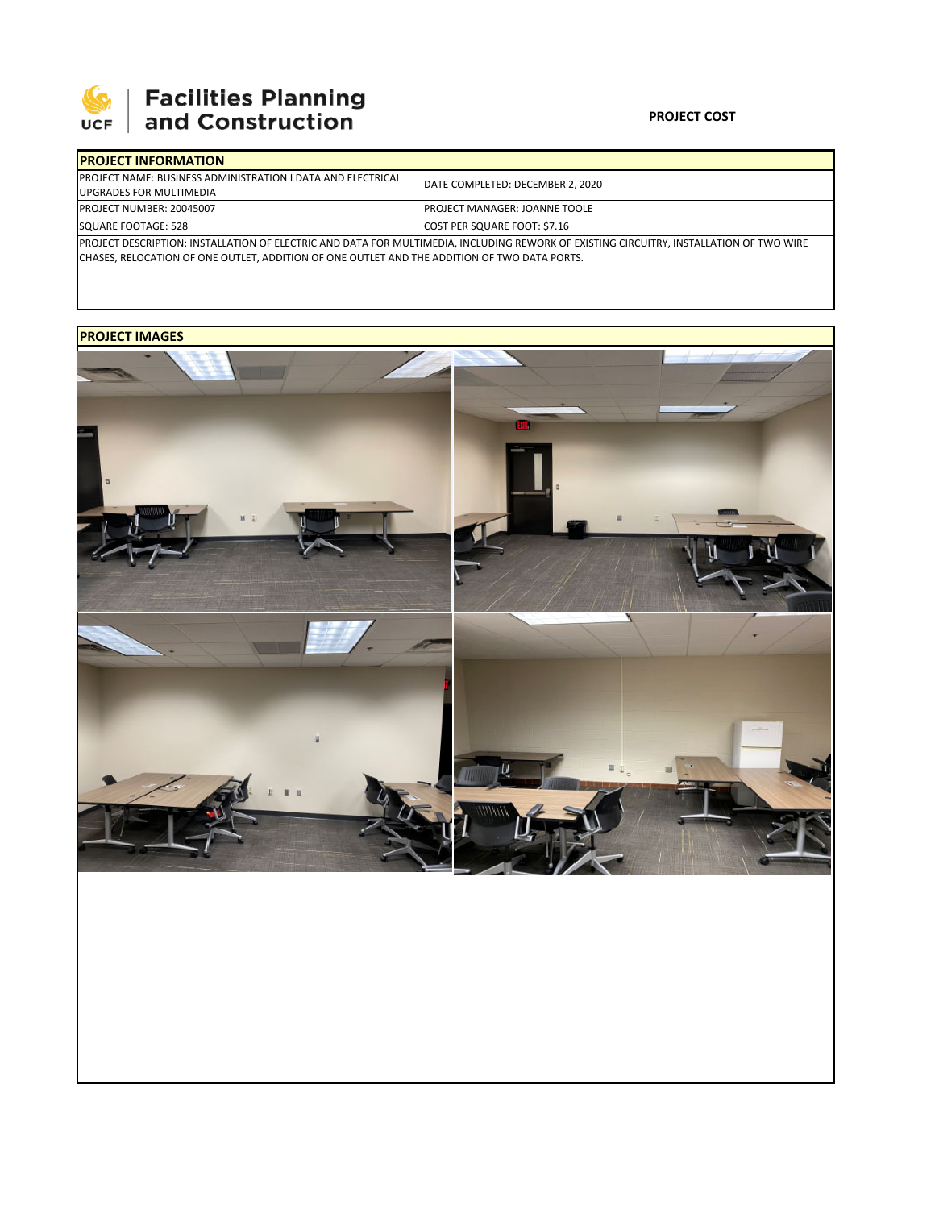

# **SEPTE AND Facilities Planning**<br>UCF and Construction

### **PROJECT COST**

| <b>IPROJECT INFORMATION</b>                                                                                                             |                                       |  |  |  |
|-----------------------------------------------------------------------------------------------------------------------------------------|---------------------------------------|--|--|--|
| <b>PROJECT NAME: BUSINESS ADMINISTRATION I DATA AND ELECTRICAL</b>                                                                      | DATE COMPLETED: DECEMBER 2, 2020      |  |  |  |
| UPGRADES FOR MULTIMEDIA                                                                                                                 |                                       |  |  |  |
| <b>IPROJECT NUMBER: 20045007</b>                                                                                                        | <b>IPROJECT MANAGER: JOANNE TOOLE</b> |  |  |  |
| SQUARE FOOTAGE: 528                                                                                                                     | COST PER SQUARE FOOT: \$7.16          |  |  |  |
| PROJECT DESCRIPTION: INSTALLATION OF ELECTRIC AND DATA FOR MULTIMEDIA, INCLUDING REWORK OF EXISTING CIRCUITRY, INSTALLATION OF TWO WIRE |                                       |  |  |  |

CHASES, RELOCATION OF ONE OUTLET, ADDITION OF ONE OUTLET AND THE ADDITION OF TWO DATA PORTS.

## **PROJECT IMAGES**